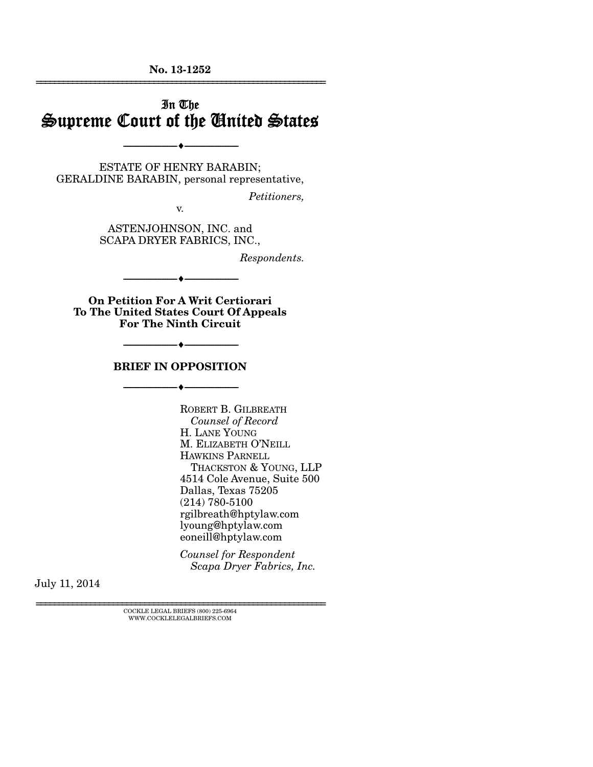# In The Supreme Court of the United States

ESTATE OF HENRY BARABIN; GERALDINE BARABIN, personal representative,

 $-\cdot$   $-$ 

*Petitioners,* 

v.

ASTENJOHNSON, INC. and SCAPA DRYER FABRICS, INC.,

*Respondents.* 

**On Petition For A Writ Certiorari To The United States Court Of Appeals For The Ninth Circuit** 

--------------------------------- ---------------------------------

#### **BRIEF IN OPPOSITION**

 $-\cdot$   $-$ 

--------------------------------- ---------------------------------

ROBERT B. GILBREATH *Counsel of Record* H. LANE YOUNG M. ELIZABETH O'NEILL HAWKINS PARNELL THACKSTON & YOUNG, LLP 4514 Cole Avenue, Suite 500 Dallas, Texas 75205 (214) 780-5100 rgilbreath@hptylaw.com lyoung@hptylaw.com eoneill@hptylaw.com

*Counsel for Respondent*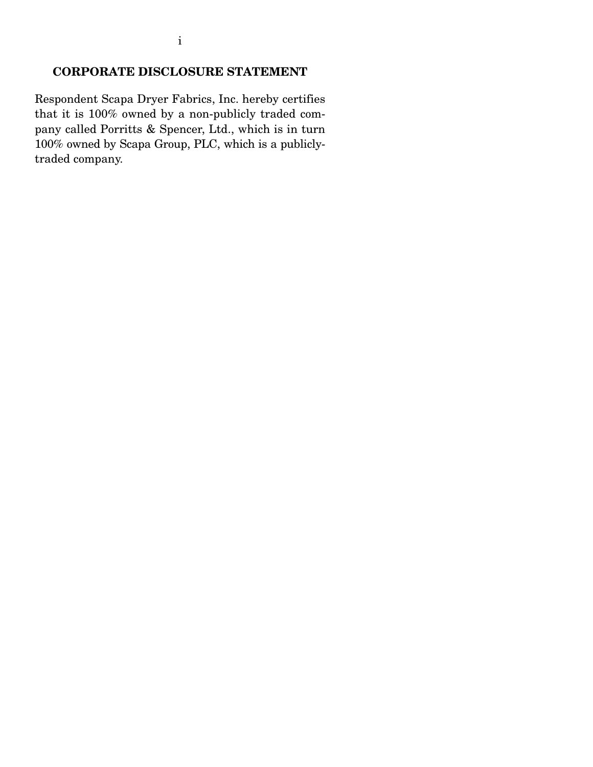Respondent Scapa Dryer Fabrics, Inc. hereby certifies that it is 100% owned by a non-publicly traded company called Porritts & Spencer, Ltd., which is in turn 100% owned by Scapa Group, PLC, which is a publiclytraded company.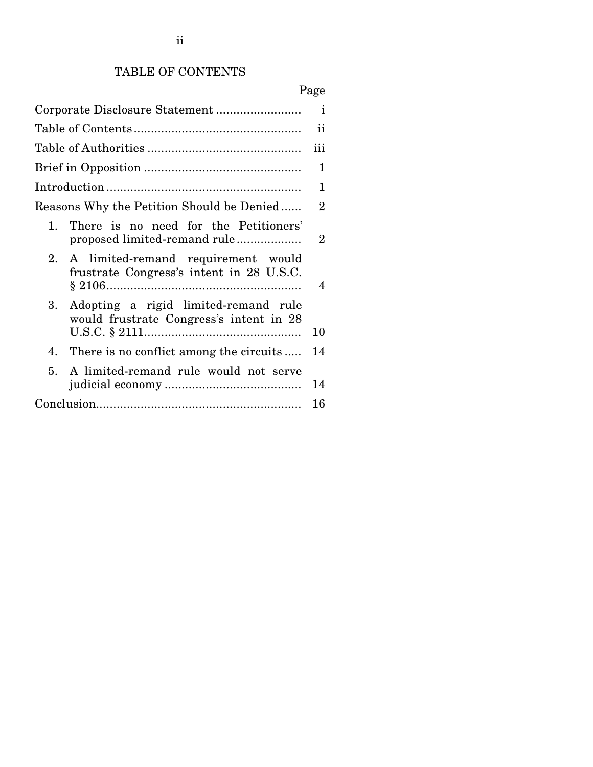# TABLE OF CONTENTS

|                                                                                                  | $\mathbf{i}$   |
|--------------------------------------------------------------------------------------------------|----------------|
|                                                                                                  | $\mathbf{ii}$  |
|                                                                                                  | iii            |
|                                                                                                  | 1              |
|                                                                                                  | 1              |
| Reasons Why the Petition Should be Denied                                                        | $\overline{2}$ |
| There is no need for the Petitioners'<br>$1_{-}$<br>proposed limited-remand rule                 | $\overline{2}$ |
| A limited-remand requirement would<br>2 <sub>1</sub><br>frustrate Congress's intent in 28 U.S.C. | 4              |
| Adopting a rigid limited-remand rule<br>3.<br>would frustrate Congress's intent in 28            | 10             |
| 4. There is no conflict among the circuits                                                       | 14             |
| A limited-remand rule would not serve<br>5 <sub>1</sub>                                          | 14             |
|                                                                                                  | 16             |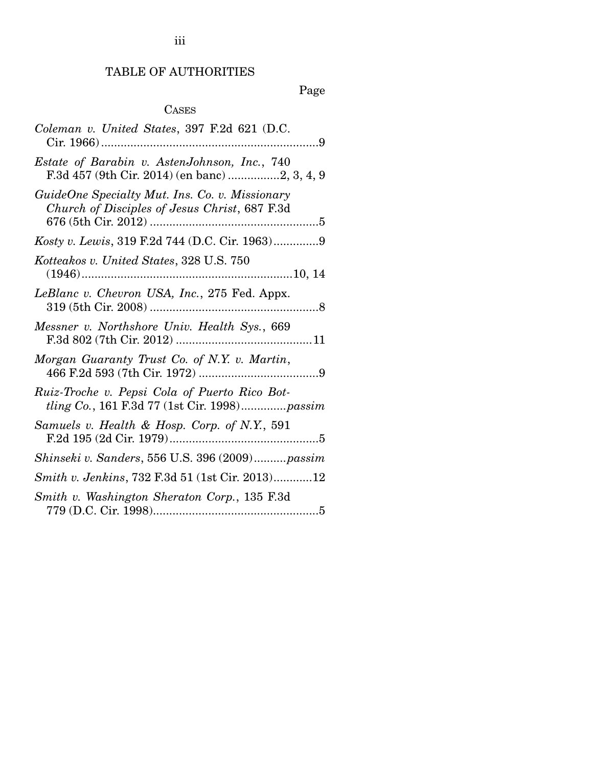# TABLE OF AUTHORITIES

Page

#### **CASES**

| Coleman v. United States, 397 F.2d 621 (D.C.<br>. 9                                             |
|-------------------------------------------------------------------------------------------------|
| Estate of Barabin v. AstenJohnson, Inc., 740<br>F.3d 457 (9th Cir. 2014) (en banc) 2, 3, 4, 9   |
| GuideOne Specialty Mut. Ins. Co. v. Missionary<br>Church of Disciples of Jesus Christ, 687 F.3d |
| Kosty v. Lewis, 319 F.2d 744 (D.C. Cir. 1963)9                                                  |
| Kotteakos v. United States, 328 U.S. 750                                                        |
| LeBlanc v. Chevron USA, Inc., 275 Fed. Appx.                                                    |
| Messner v. Northshore Univ. Health Sys., 669                                                    |
| Morgan Guaranty Trust Co. of N.Y. v. Martin,                                                    |
| Ruiz-Troche v. Pepsi Cola of Puerto Rico Bot-<br>tling Co., 161 F.3d 77 (1st Cir. 1998)passim   |
| Samuels v. Health & Hosp. Corp. of N.Y., 591                                                    |
| Shinseki v. Sanders, 556 U.S. 396 (2009)passim                                                  |
| Smith v. Jenkins, 732 F.3d 51 (1st Cir. 2013)12                                                 |
| Smith v. Washington Sheraton Corp., 135 F.3d                                                    |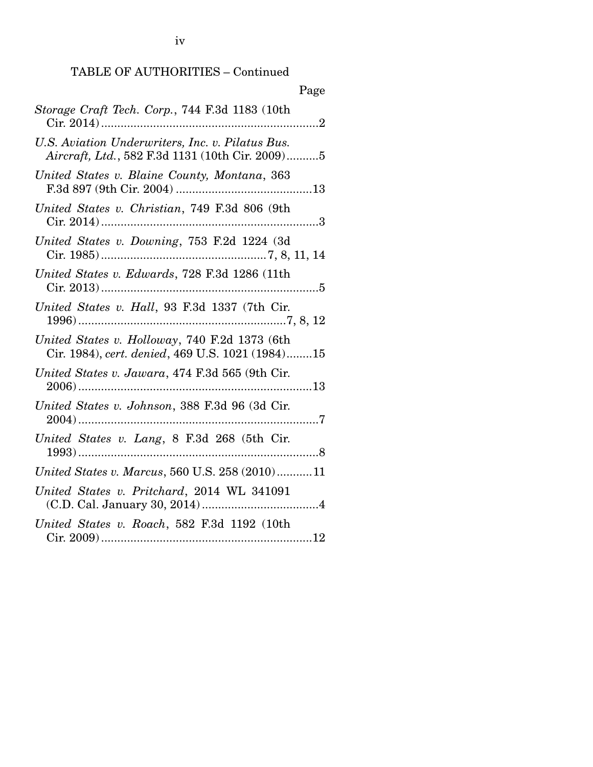# TABLE OF AUTHORITIES – Continued

| Storage Craft Tech. Corp., 744 F.3d 1183 (10th                                                      |
|-----------------------------------------------------------------------------------------------------|
| U.S. Aviation Underwriters, Inc. v. Pilatus Bus.<br>Aircraft, Ltd., 582 F.3d 1131 (10th Cir. 2009)5 |
| United States v. Blaine County, Montana, 363                                                        |
| United States v. Christian, 749 F.3d 806 (9th                                                       |
| United States v. Downing, 753 F.2d 1224 (3d                                                         |
| United States v. Edwards, 728 F.3d 1286 (11th                                                       |
| United States v. Hall, 93 F.3d 1337 (7th Cir.                                                       |
| United States v. Holloway, 740 F.2d 1373 (6th<br>Cir. 1984), cert. denied, 469 U.S. 1021 (1984)15   |
| United States v. Jawara, 474 F.3d 565 (9th Cir.                                                     |
| United States v. Johnson, 388 F.3d 96 (3d Cir.                                                      |
| United States v. Lang, 8 F.3d 268 (5th Cir.                                                         |
| United States v. Marcus, 560 U.S. 258 (2010)11                                                      |
| United States v. Pritchard, 2014 WL 341091                                                          |
| United States v. Roach, 582 F.3d 1192 (10th                                                         |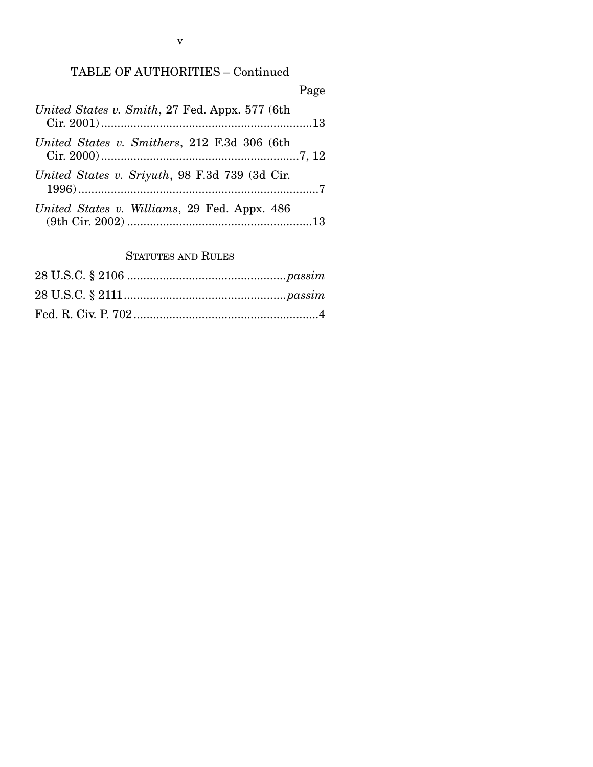# TABLE OF AUTHORITIES – Continued

| United States v. Smith, 27 Fed. Appx. 577 (6th) |  |
|-------------------------------------------------|--|
| United States v. Smithers, 212 F.3d 306 (6th    |  |
| United States v. Sriyuth, 98 F.3d 739 (3d Cir.  |  |
| United States v. Williams, 29 Fed. Appx. 486    |  |

# STATUTES AND RULES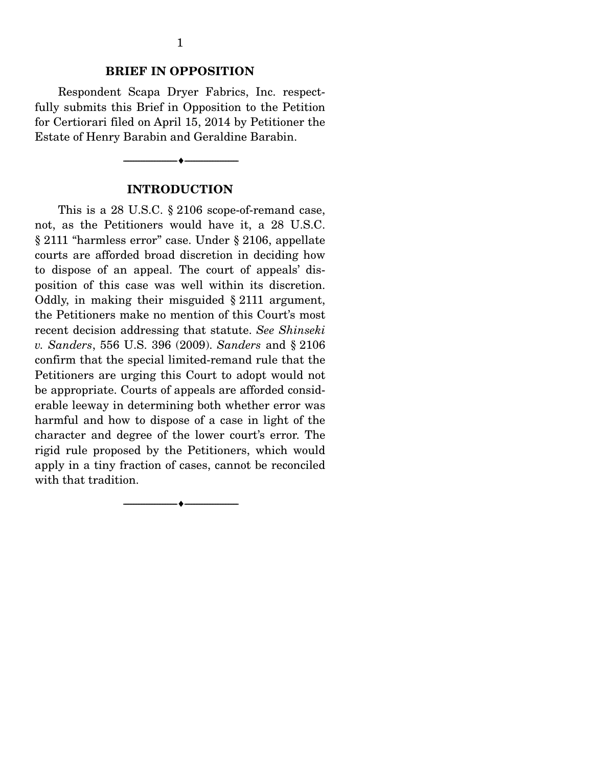#### **BRIEF IN OPPOSITION**

 Respondent Scapa Dryer Fabrics, Inc. respectfully submits this Brief in Opposition to the Petition for Certiorari filed on April 15, 2014 by Petitioner the Estate of Henry Barabin and Geraldine Barabin.

### **INTRODUCTION**

--------------------------------- ---------------------------------

This is a 28 U.S.C. § 2106 scope-of-remand case, not, as the Petitioners would have it, a 28 U.S.C. § 2111 "harmless error" case. Under § 2106, appellate courts are afforded broad discretion in deciding how to dispose of an appeal. The court of appeals' disposition of this case was well within its discretion. Oddly, in making their misguided § 2111 argument, the Petitioners make no mention of this Court's most recent decision addressing that statute. *See Shinseki v. Sanders*, 556 U.S. 396 (2009). *Sanders* and § 2106 confirm that the special limited-remand rule that the Petitioners are urging this Court to adopt would not be appropriate. Courts of appeals are afforded considerable leeway in determining both whether error was harmful and how to dispose of a case in light of the character and degree of the lower court's error. The rigid rule proposed by the Petitioners, which would apply in a tiny fraction of cases, cannot be reconciled with that tradition.

--------------------------------- ---------------------------------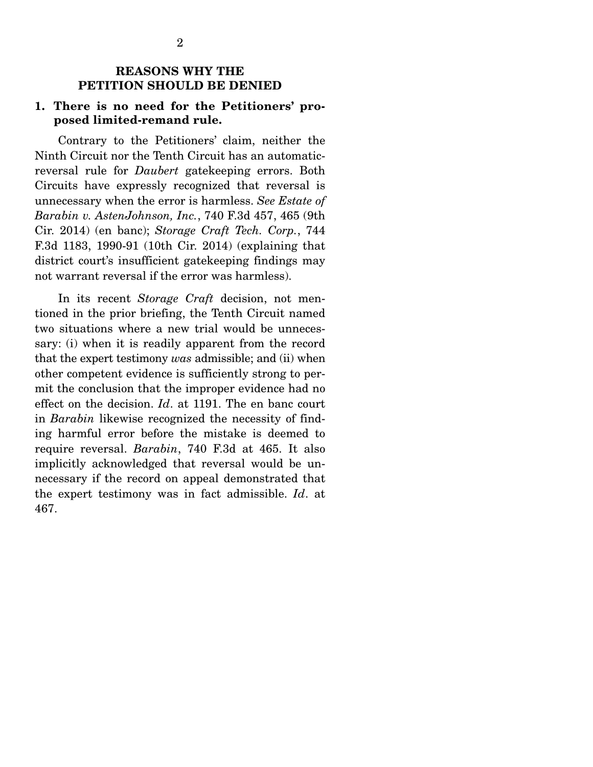#### **REASONS WHY THE PETITION SHOULD BE DENIED**

# **1. There is no need for the Petitioners' proposed limited-remand rule.**

 Contrary to the Petitioners' claim, neither the Ninth Circuit nor the Tenth Circuit has an automaticreversal rule for *Daubert* gatekeeping errors. Both Circuits have expressly recognized that reversal is unnecessary when the error is harmless. *See Estate of Barabin v. AstenJohnson, Inc.*, 740 F.3d 457, 465 (9th Cir. 2014) (en banc); *Storage Craft Tech. Corp.*, 744 F.3d 1183, 1990-91 (10th Cir. 2014) (explaining that district court's insufficient gatekeeping findings may not warrant reversal if the error was harmless).

 In its recent *Storage Craft* decision, not mentioned in the prior briefing, the Tenth Circuit named two situations where a new trial would be unnecessary: (i) when it is readily apparent from the record that the expert testimony *was* admissible; and (ii) when other competent evidence is sufficiently strong to permit the conclusion that the improper evidence had no effect on the decision. *Id*. at 1191. The en banc court in *Barabin* likewise recognized the necessity of finding harmful error before the mistake is deemed to require reversal. *Barabin*, 740 F.3d at 465. It also implicitly acknowledged that reversal would be unnecessary if the record on appeal demonstrated that the expert testimony was in fact admissible. *Id*. at 467.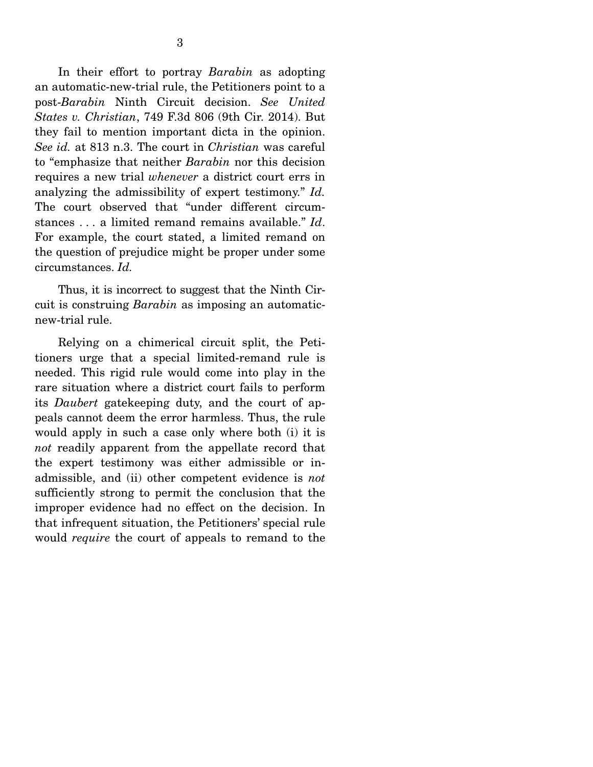In their effort to portray *Barabin* as adopting an automatic-new-trial rule, the Petitioners point to a post-*Barabin* Ninth Circuit decision. *See United States v. Christian*, 749 F.3d 806 (9th Cir. 2014). But they fail to mention important dicta in the opinion. *See id.* at 813 n.3. The court in *Christian* was careful to "emphasize that neither *Barabin* nor this decision requires a new trial *whenever* a district court errs in analyzing the admissibility of expert testimony." *Id.*  The court observed that "under different circumstances . . . a limited remand remains available." *Id*. For example, the court stated, a limited remand on the question of prejudice might be proper under some circumstances. *Id.* 

Thus, it is incorrect to suggest that the Ninth Circuit is construing *Barabin* as imposing an automaticnew-trial rule.

 Relying on a chimerical circuit split, the Petitioners urge that a special limited-remand rule is needed. This rigid rule would come into play in the rare situation where a district court fails to perform its *Daubert* gatekeeping duty, and the court of appeals cannot deem the error harmless. Thus, the rule would apply in such a case only where both (i) it is *not* readily apparent from the appellate record that the expert testimony was either admissible or inadmissible, and (ii) other competent evidence is *not* sufficiently strong to permit the conclusion that the improper evidence had no effect on the decision. In that infrequent situation, the Petitioners' special rule would *require* the court of appeals to remand to the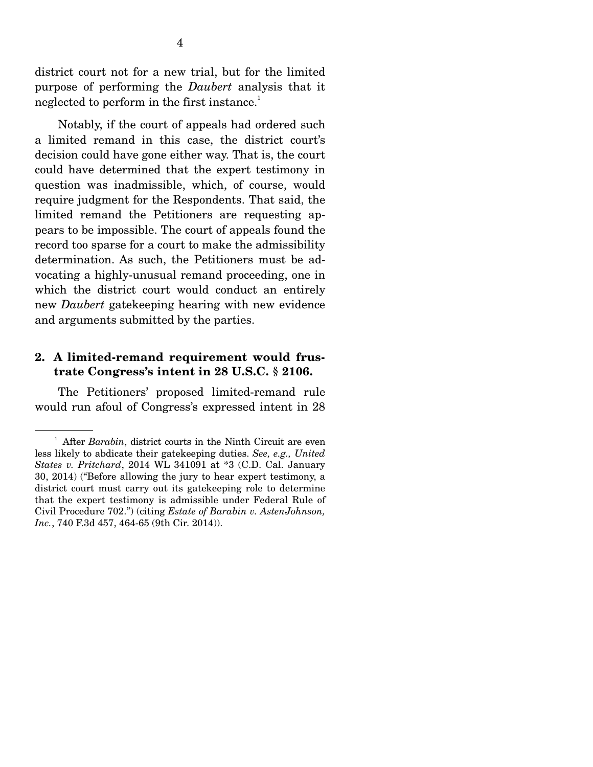district court not for a new trial, but for the limited purpose of performing the *Daubert* analysis that it neglected to perform in the first instance.<sup>1</sup>

 Notably, if the court of appeals had ordered such a limited remand in this case, the district court's decision could have gone either way. That is, the court could have determined that the expert testimony in question was inadmissible, which, of course, would require judgment for the Respondents. That said, the limited remand the Petitioners are requesting appears to be impossible. The court of appeals found the record too sparse for a court to make the admissibility determination. As such, the Petitioners must be advocating a highly-unusual remand proceeding, one in which the district court would conduct an entirely new *Daubert* gatekeeping hearing with new evidence and arguments submitted by the parties.

#### **2. A limited-remand requirement would frustrate Congress's intent in 28 U.S.C. § 2106.**

 The Petitioners' proposed limited-remand rule would run afoul of Congress's expressed intent in 28

<sup>&</sup>lt;sup>1</sup> After *Barabin*, district courts in the Ninth Circuit are even less likely to abdicate their gatekeeping duties. *See, e.g., United States v. Pritchard*, 2014 WL 341091 at \*3 (C.D. Cal. January 30, 2014) ("Before allowing the jury to hear expert testimony, a district court must carry out its gatekeeping role to determine that the expert testimony is admissible under Federal Rule of Civil Procedure 702.") (citing *Estate of Barabin v. AstenJohnson, Inc.*, 740 F.3d 457, 464-65 (9th Cir. 2014)).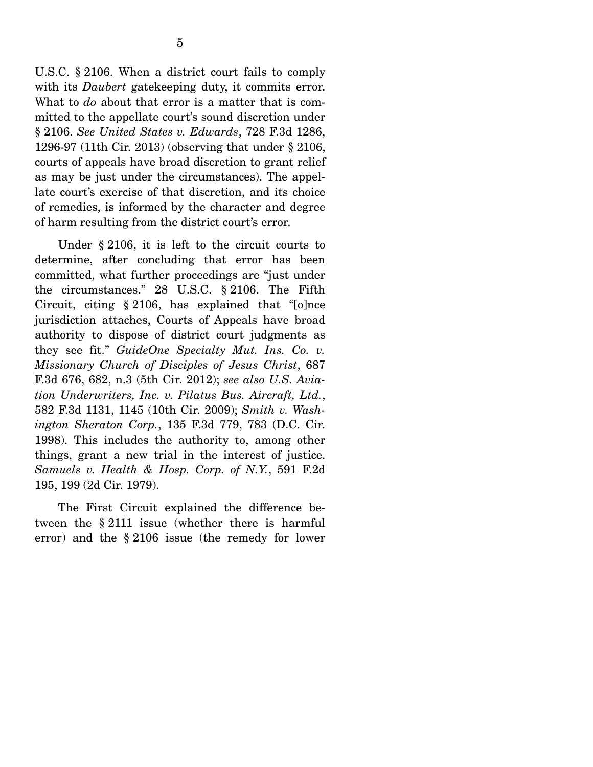U.S.C. § 2106. When a district court fails to comply with its *Daubert* gatekeeping duty, it commits error. What to *do* about that error is a matter that is committed to the appellate court's sound discretion under § 2106. *See United States v. Edwards*, 728 F.3d 1286, 1296-97 (11th Cir. 2013) (observing that under § 2106, courts of appeals have broad discretion to grant relief as may be just under the circumstances). The appellate court's exercise of that discretion, and its choice of remedies, is informed by the character and degree of harm resulting from the district court's error.

 Under § 2106, it is left to the circuit courts to determine, after concluding that error has been committed, what further proceedings are "just under the circumstances." 28 U.S.C. § 2106. The Fifth Circuit, citing § 2106, has explained that "[o]nce jurisdiction attaches, Courts of Appeals have broad authority to dispose of district court judgments as they see fit." *GuideOne Specialty Mut. Ins. Co. v. Missionary Church of Disciples of Jesus Christ*, 687 F.3d 676, 682, n.3 (5th Cir. 2012); *see also U.S. Aviation Underwriters, Inc. v. Pilatus Bus. Aircraft, Ltd.*, 582 F.3d 1131, 1145 (10th Cir. 2009); *Smith v. Washington Sheraton Corp.*, 135 F.3d 779, 783 (D.C. Cir. 1998). This includes the authority to, among other things, grant a new trial in the interest of justice. *Samuels v. Health & Hosp. Corp. of N.Y.*, 591 F.2d 195, 199 (2d Cir. 1979).

 The First Circuit explained the difference between the § 2111 issue (whether there is harmful error) and the § 2106 issue (the remedy for lower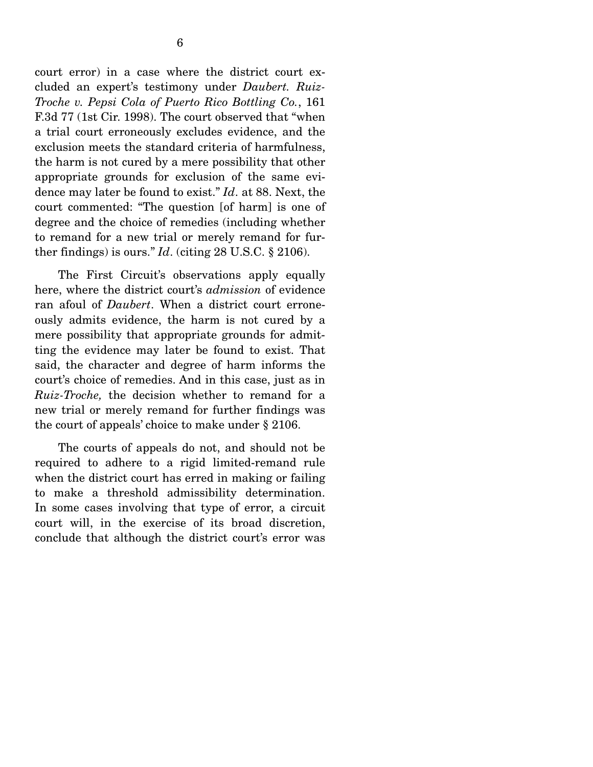court error) in a case where the district court excluded an expert's testimony under *Daubert. Ruiz-Troche v. Pepsi Cola of Puerto Rico Bottling Co.*, 161 F.3d 77 (1st Cir. 1998). The court observed that "when a trial court erroneously excludes evidence, and the exclusion meets the standard criteria of harmfulness, the harm is not cured by a mere possibility that other appropriate grounds for exclusion of the same evidence may later be found to exist." *Id*. at 88. Next, the court commented: "The question [of harm] is one of degree and the choice of remedies (including whether to remand for a new trial or merely remand for further findings) is ours."  $Id$ . (citing 28 U.S.C.  $\S$  2106).

 The First Circuit's observations apply equally here, where the district court's *admission* of evidence ran afoul of *Daubert*. When a district court erroneously admits evidence, the harm is not cured by a mere possibility that appropriate grounds for admitting the evidence may later be found to exist. That said, the character and degree of harm informs the court's choice of remedies. And in this case, just as in *Ruiz-Troche,* the decision whether to remand for a new trial or merely remand for further findings was the court of appeals' choice to make under § 2106.

 The courts of appeals do not, and should not be required to adhere to a rigid limited-remand rule when the district court has erred in making or failing to make a threshold admissibility determination. In some cases involving that type of error, a circuit court will, in the exercise of its broad discretion, conclude that although the district court's error was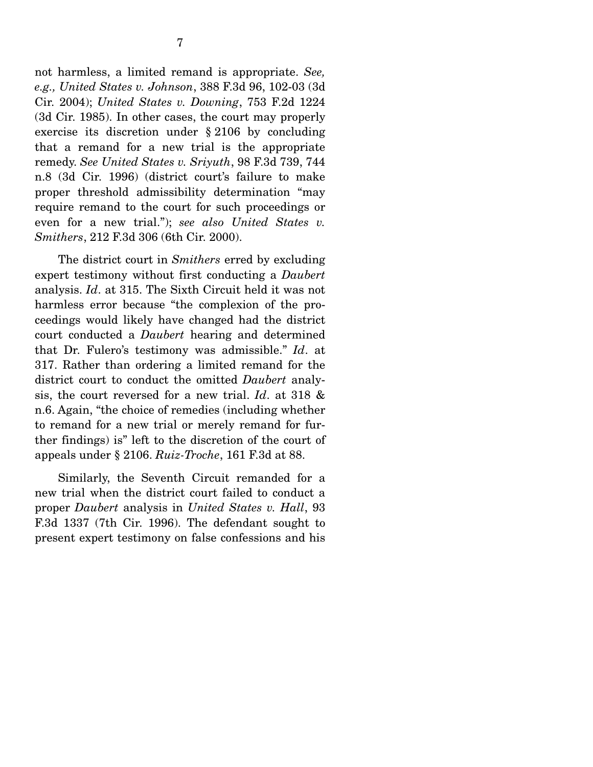not harmless, a limited remand is appropriate. *See, e.g., United States v. Johnson*, 388 F.3d 96, 102-03 (3d Cir. 2004); *United States v. Downing*, 753 F.2d 1224 (3d Cir. 1985). In other cases, the court may properly exercise its discretion under § 2106 by concluding that a remand for a new trial is the appropriate remedy. *See United States v. Sriyuth*, 98 F.3d 739, 744 n.8 (3d Cir. 1996) (district court's failure to make proper threshold admissibility determination "may require remand to the court for such proceedings or even for a new trial."); *see also United States v. Smithers*, 212 F.3d 306 (6th Cir. 2000).

 The district court in *Smithers* erred by excluding expert testimony without first conducting a *Daubert* analysis. *Id*. at 315. The Sixth Circuit held it was not harmless error because "the complexion of the proceedings would likely have changed had the district court conducted a *Daubert* hearing and determined that Dr. Fulero's testimony was admissible." *Id*. at 317. Rather than ordering a limited remand for the district court to conduct the omitted *Daubert* analysis, the court reversed for a new trial. *Id*. at 318 & n.6. Again, "the choice of remedies (including whether to remand for a new trial or merely remand for further findings) is" left to the discretion of the court of appeals under § 2106. *Ruiz-Troche*, 161 F.3d at 88.

 Similarly, the Seventh Circuit remanded for a new trial when the district court failed to conduct a proper *Daubert* analysis in *United States v. Hall*, 93 F.3d 1337 (7th Cir. 1996). The defendant sought to present expert testimony on false confessions and his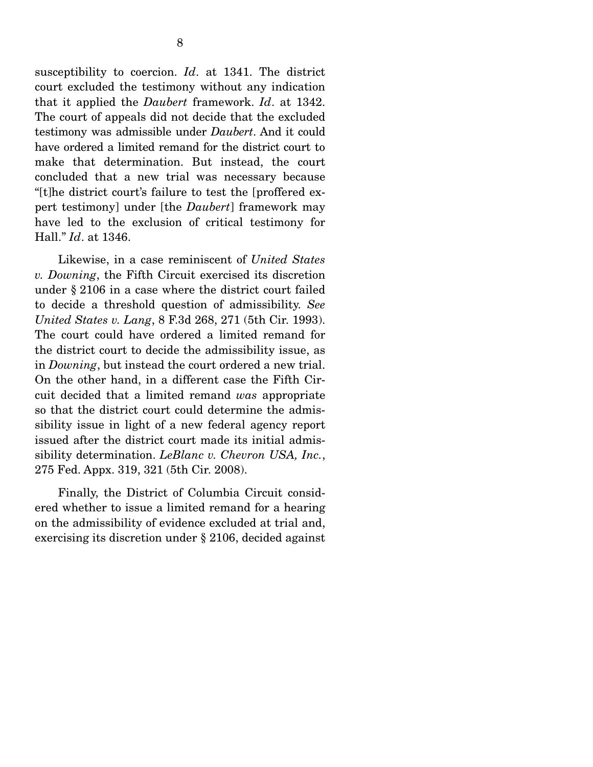susceptibility to coercion. *Id*. at 1341. The district court excluded the testimony without any indication that it applied the *Daubert* framework. *Id*. at 1342. The court of appeals did not decide that the excluded testimony was admissible under *Daubert*. And it could have ordered a limited remand for the district court to make that determination. But instead, the court concluded that a new trial was necessary because "[t]he district court's failure to test the [proffered expert testimony] under [the *Daubert*] framework may have led to the exclusion of critical testimony for Hall." *Id*. at 1346.

 Likewise, in a case reminiscent of *United States v. Downing*, the Fifth Circuit exercised its discretion under § 2106 in a case where the district court failed to decide a threshold question of admissibility. *See United States v. Lang*, 8 F.3d 268, 271 (5th Cir. 1993). The court could have ordered a limited remand for the district court to decide the admissibility issue, as in *Downing*, but instead the court ordered a new trial. On the other hand, in a different case the Fifth Circuit decided that a limited remand *was* appropriate so that the district court could determine the admissibility issue in light of a new federal agency report issued after the district court made its initial admissibility determination. *LeBlanc v. Chevron USA, Inc.*, 275 Fed. Appx. 319, 321 (5th Cir. 2008).

 Finally, the District of Columbia Circuit considered whether to issue a limited remand for a hearing on the admissibility of evidence excluded at trial and, exercising its discretion under § 2106, decided against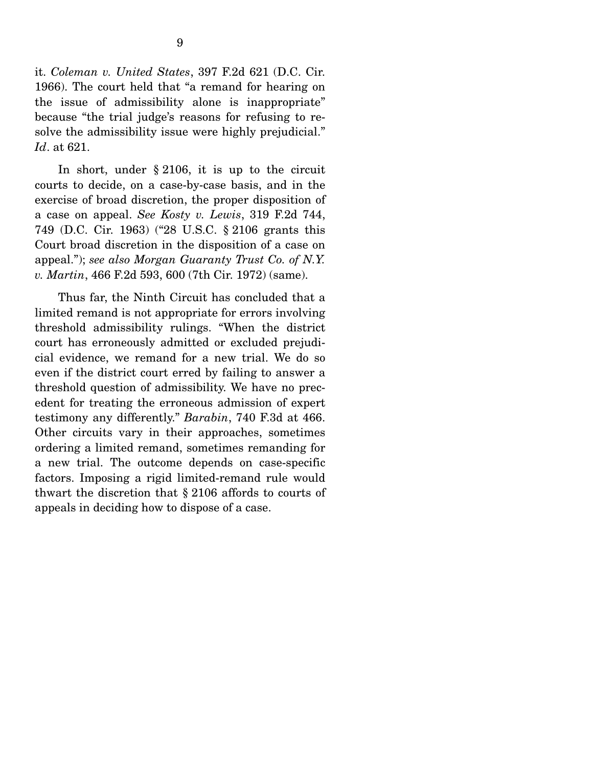it. *Coleman v. United States*, 397 F.2d 621 (D.C. Cir. 1966). The court held that "a remand for hearing on the issue of admissibility alone is inappropriate" because "the trial judge's reasons for refusing to resolve the admissibility issue were highly prejudicial." *Id*. at 621.

 In short, under § 2106, it is up to the circuit courts to decide, on a case-by-case basis, and in the exercise of broad discretion, the proper disposition of a case on appeal. *See Kosty v. Lewis*, 319 F.2d 744, 749 (D.C. Cir. 1963) ("28 U.S.C. § 2106 grants this Court broad discretion in the disposition of a case on appeal."); *see also Morgan Guaranty Trust Co. of N.Y. v. Martin*, 466 F.2d 593, 600 (7th Cir. 1972) (same).

 Thus far, the Ninth Circuit has concluded that a limited remand is not appropriate for errors involving threshold admissibility rulings. "When the district court has erroneously admitted or excluded prejudicial evidence, we remand for a new trial. We do so even if the district court erred by failing to answer a threshold question of admissibility. We have no precedent for treating the erroneous admission of expert testimony any differently." *Barabin*, 740 F.3d at 466. Other circuits vary in their approaches, sometimes ordering a limited remand, sometimes remanding for a new trial. The outcome depends on case-specific factors. Imposing a rigid limited-remand rule would thwart the discretion that § 2106 affords to courts of appeals in deciding how to dispose of a case.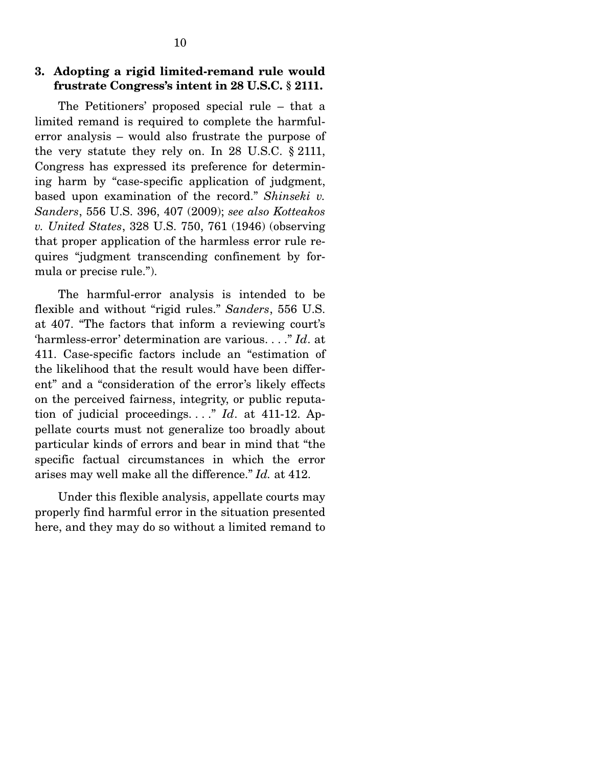#### **3. Adopting a rigid limited-remand rule would frustrate Congress's intent in 28 U.S.C. § 2111.**

 The Petitioners' proposed special rule – that a limited remand is required to complete the harmfulerror analysis – would also frustrate the purpose of the very statute they rely on. In 28 U.S.C. § 2111, Congress has expressed its preference for determining harm by "case-specific application of judgment, based upon examination of the record." *Shinseki v. Sanders*, 556 U.S. 396, 407 (2009); *see also Kotteakos v. United States*, 328 U.S. 750, 761 (1946) (observing that proper application of the harmless error rule requires "judgment transcending confinement by formula or precise rule.").

 The harmful-error analysis is intended to be flexible and without "rigid rules." *Sanders*, 556 U.S. at 407. "The factors that inform a reviewing court's 'harmless-error' determination are various. . . ." *Id*. at 411. Case-specific factors include an "estimation of the likelihood that the result would have been different" and a "consideration of the error's likely effects on the perceived fairness, integrity, or public reputation of judicial proceedings. . . ." *Id*. at 411-12. Appellate courts must not generalize too broadly about particular kinds of errors and bear in mind that "the specific factual circumstances in which the error arises may well make all the difference." *Id.* at 412.

 Under this flexible analysis, appellate courts may properly find harmful error in the situation presented here, and they may do so without a limited remand to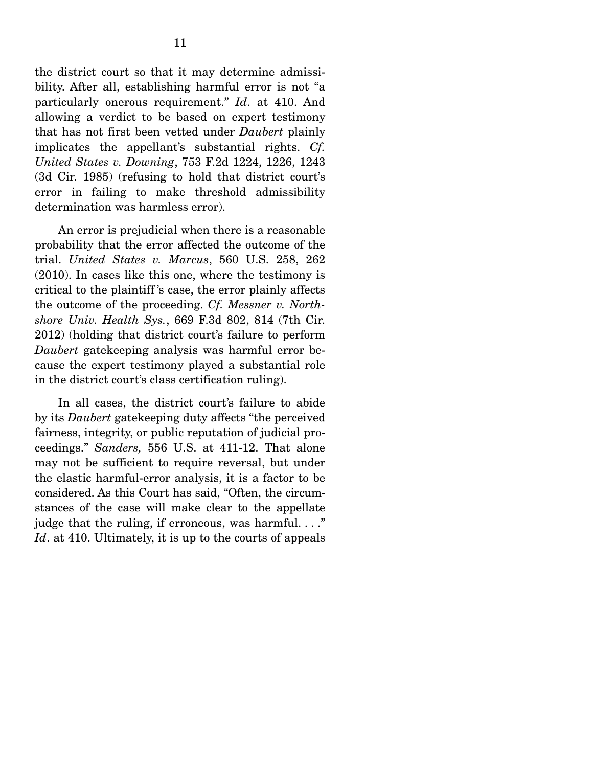the district court so that it may determine admissibility. After all, establishing harmful error is not "a particularly onerous requirement." *Id*. at 410. And allowing a verdict to be based on expert testimony that has not first been vetted under *Daubert* plainly implicates the appellant's substantial rights. *Cf. United States v. Downing*, 753 F.2d 1224, 1226, 1243 (3d Cir. 1985) (refusing to hold that district court's error in failing to make threshold admissibility determination was harmless error).

An error is prejudicial when there is a reasonable probability that the error affected the outcome of the trial. *United States v. Marcus*, 560 U.S. 258, 262 (2010). In cases like this one, where the testimony is critical to the plaintiff 's case, the error plainly affects the outcome of the proceeding. *Cf. Messner v. Northshore Univ. Health Sys.*, 669 F.3d 802, 814 (7th Cir. 2012) (holding that district court's failure to perform *Daubert* gatekeeping analysis was harmful error because the expert testimony played a substantial role in the district court's class certification ruling).

 In all cases, the district court's failure to abide by its *Daubert* gatekeeping duty affects "the perceived fairness, integrity, or public reputation of judicial proceedings." *Sanders,* 556 U.S. at 411-12. That alone may not be sufficient to require reversal, but under the elastic harmful-error analysis, it is a factor to be considered. As this Court has said, "Often, the circumstances of the case will make clear to the appellate judge that the ruling, if erroneous, was harmful. . . ." *Id*. at 410. Ultimately, it is up to the courts of appeals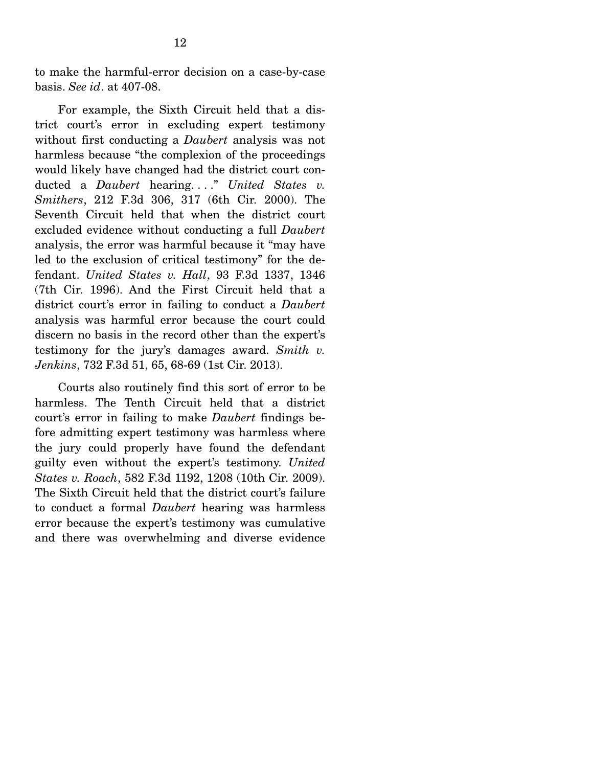to make the harmful-error decision on a case-by-case basis. *See id*. at 407-08.

 For example, the Sixth Circuit held that a district court's error in excluding expert testimony without first conducting a *Daubert* analysis was not harmless because "the complexion of the proceedings would likely have changed had the district court conducted a *Daubert* hearing...." *United States v. Smithers*, 212 F.3d 306, 317 (6th Cir. 2000). The Seventh Circuit held that when the district court excluded evidence without conducting a full *Daubert* analysis, the error was harmful because it "may have led to the exclusion of critical testimony" for the defendant. *United States v. Hall*, 93 F.3d 1337, 1346 (7th Cir. 1996). And the First Circuit held that a district court's error in failing to conduct a *Daubert* analysis was harmful error because the court could discern no basis in the record other than the expert's testimony for the jury's damages award. *Smith v. Jenkins*, 732 F.3d 51, 65, 68-69 (1st Cir. 2013).

 Courts also routinely find this sort of error to be harmless. The Tenth Circuit held that a district court's error in failing to make *Daubert* findings before admitting expert testimony was harmless where the jury could properly have found the defendant guilty even without the expert's testimony. *United States v. Roach*, 582 F.3d 1192, 1208 (10th Cir. 2009). The Sixth Circuit held that the district court's failure to conduct a formal *Daubert* hearing was harmless error because the expert's testimony was cumulative and there was overwhelming and diverse evidence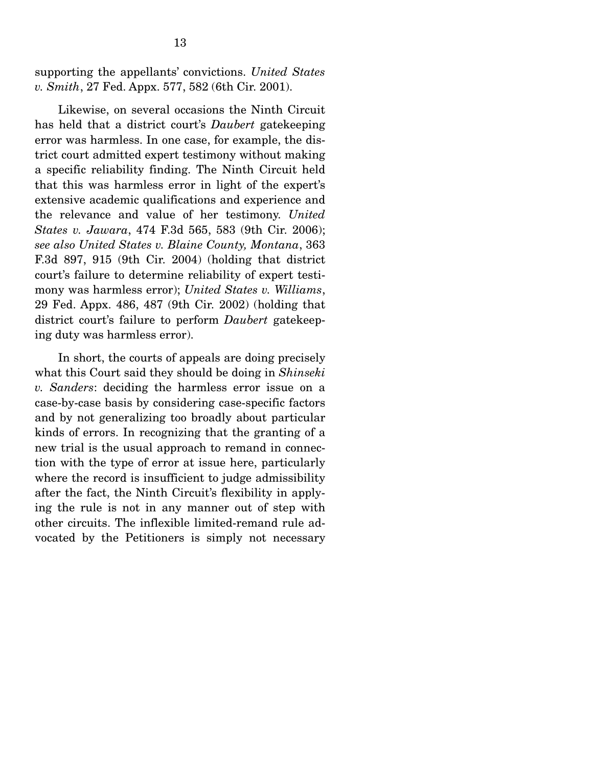supporting the appellants' convictions. *United States v. Smith*, 27 Fed. Appx. 577, 582 (6th Cir. 2001).

 Likewise, on several occasions the Ninth Circuit has held that a district court's *Daubert* gatekeeping error was harmless. In one case, for example, the district court admitted expert testimony without making a specific reliability finding. The Ninth Circuit held that this was harmless error in light of the expert's extensive academic qualifications and experience and the relevance and value of her testimony. *United States v. Jawara*, 474 F.3d 565, 583 (9th Cir. 2006); *see also United States v. Blaine County, Montana*, 363 F.3d 897, 915 (9th Cir. 2004) (holding that district court's failure to determine reliability of expert testimony was harmless error); *United States v. Williams*, 29 Fed. Appx. 486, 487 (9th Cir. 2002) (holding that district court's failure to perform *Daubert* gatekeeping duty was harmless error).

 In short, the courts of appeals are doing precisely what this Court said they should be doing in *Shinseki v. Sanders*: deciding the harmless error issue on a case-by-case basis by considering case-specific factors and by not generalizing too broadly about particular kinds of errors. In recognizing that the granting of a new trial is the usual approach to remand in connection with the type of error at issue here, particularly where the record is insufficient to judge admissibility after the fact, the Ninth Circuit's flexibility in applying the rule is not in any manner out of step with other circuits. The inflexible limited-remand rule advocated by the Petitioners is simply not necessary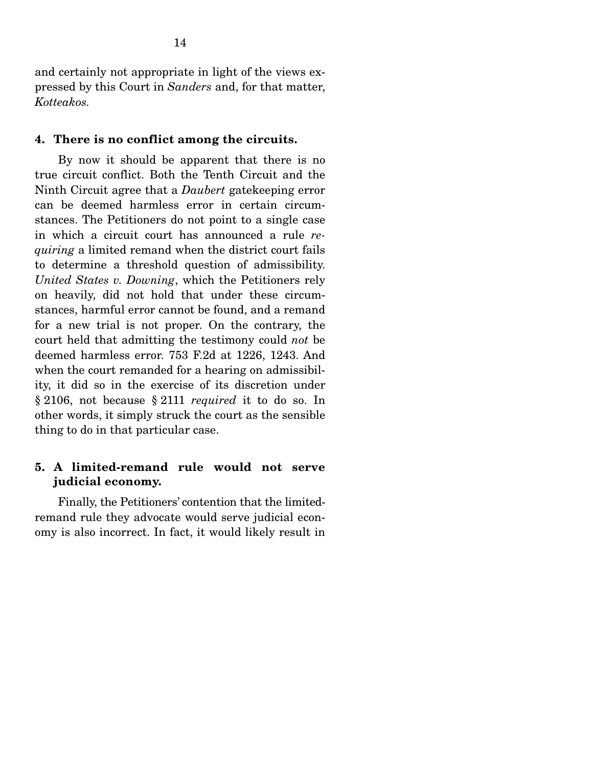and certainly not appropriate in light of the views expressed by this Court in *Sanders* and, for that matter, *Kotteakos.*

### **4. There is no conflict among the circuits.**

 By now it should be apparent that there is no true circuit conflict. Both the Tenth Circuit and the Ninth Circuit agree that a *Daubert* gatekeeping error can be deemed harmless error in certain circumstances. The Petitioners do not point to a single case in which a circuit court has announced a rule *requiring* a limited remand when the district court fails to determine a threshold question of admissibility. *United States v. Downing*, which the Petitioners rely on heavily, did not hold that under these circumstances, harmful error cannot be found, and a remand for a new trial is not proper. On the contrary, the court held that admitting the testimony could *not* be deemed harmless error. 753 F.2d at 1226, 1243. And when the court remanded for a hearing on admissibility, it did so in the exercise of its discretion under § 2106, not because § 2111 *required* it to do so. In other words, it simply struck the court as the sensible thing to do in that particular case.

### **5. A limited-remand rule would not serve judicial economy.**

 Finally, the Petitioners' contention that the limitedremand rule they advocate would serve judicial economy is also incorrect. In fact, it would likely result in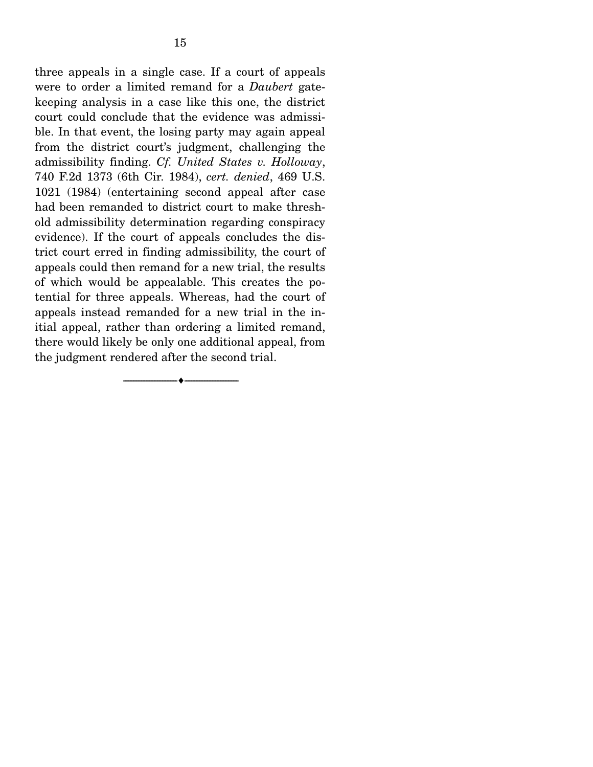three appeals in a single case. If a court of appeals were to order a limited remand for a *Daubert* gatekeeping analysis in a case like this one, the district court could conclude that the evidence was admissible. In that event, the losing party may again appeal from the district court's judgment, challenging the admissibility finding. *Cf. United States v. Holloway*, 740 F.2d 1373 (6th Cir. 1984), *cert. denied*, 469 U.S. 1021 (1984) (entertaining second appeal after case had been remanded to district court to make threshold admissibility determination regarding conspiracy evidence). If the court of appeals concludes the district court erred in finding admissibility, the court of appeals could then remand for a new trial, the results of which would be appealable. This creates the potential for three appeals. Whereas, had the court of appeals instead remanded for a new trial in the initial appeal, rather than ordering a limited remand, there would likely be only one additional appeal, from

the judgment rendered after the second trial.

--------------------------------- ---------------------------------